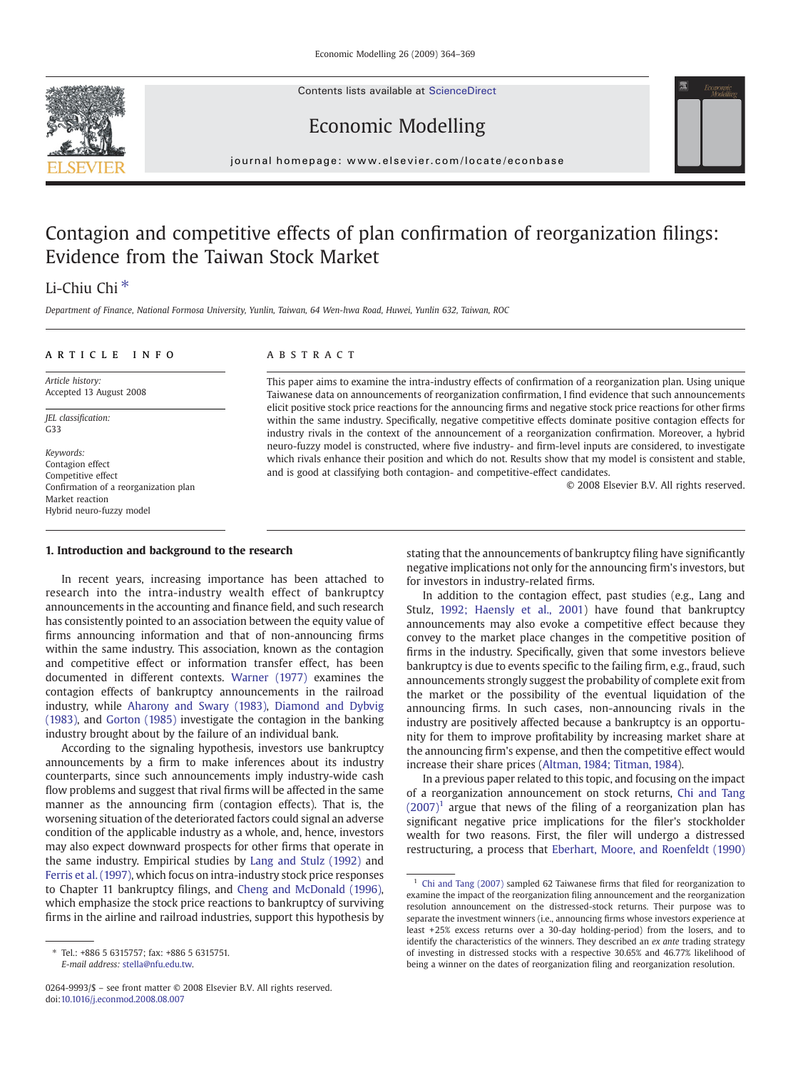Contents lists available at ScienceDirect





# Economic Modelling

journal homepage: www.elsevier.com/locate/econbase

# Contagion and competitive effects of plan confirmation of reorganization filings: Evidence from the Taiwan Stock Market

## Li-Chiu Chi<sup>\*</sup>

Department of Finance, National Formosa University, Yunlin, Taiwan, 64 Wen-hwa Road, Huwei, Yunlin 632, Taiwan, ROC

### ARTICLE INFO ABSTRACT

Article history: Accepted 13 August 2008

JEL classification: G33

Keywords: Contagion effect Competitive effect Confirmation of a reorganization plan Market reaction Hybrid neuro-fuzzy model

This paper aims to examine the intra-industry effects of confirmation of a reorganization plan. Using unique Taiwanese data on announcements of reorganization confirmation, I find evidence that such announcements elicit positive stock price reactions for the announcing firms and negative stock price reactions for other firms within the same industry. Specifically, negative competitive effects dominate positive contagion effects for industry rivals in the context of the announcement of a reorganization confirmation. Moreover, a hybrid neuro-fuzzy model is constructed, where five industry- and firm-level inputs are considered, to investigate which rivals enhance their position and which do not. Results show that my model is consistent and stable, and is good at classifying both contagion- and competitive-effect candidates.

© 2008 Elsevier B.V. All rights reserved.

#### 1. Introduction and background to the research

In recent years, increasing importance has been attached to research into the intra-industry wealth effect of bankruptcy announcements in the accounting and finance field, and such research has consistently pointed to an association between the equity value of firms announcing information and that of non-announcing firms within the same industry. This association, known as the contagion and competitive effect or information transfer effect, has been documented in different contexts. [Warner \(1977\)](#page--1-0) examines the contagion effects of bankruptcy announcements in the railroad industry, while [Aharony and Swary \(1983\),](#page--1-0) [Diamond and Dybvig](#page--1-0) [\(1983\)](#page--1-0), and [Gorton \(1985\)](#page--1-0) investigate the contagion in the banking industry brought about by the failure of an individual bank.

According to the signaling hypothesis, investors use bankruptcy announcements by a firm to make inferences about its industry counterparts, since such announcements imply industry-wide cash flow problems and suggest that rival firms will be affected in the same manner as the announcing firm (contagion effects). That is, the worsening situation of the deteriorated factors could signal an adverse condition of the applicable industry as a whole, and, hence, investors may also expect downward prospects for other firms that operate in the same industry. Empirical studies by [Lang and Stulz \(1992\)](#page--1-0) and [Ferris et al. \(1997\)](#page--1-0), which focus on intra-industry stock price responses to Chapter 11 bankruptcy filings, and [Cheng and McDonald \(1996\),](#page--1-0) which emphasize the stock price reactions to bankruptcy of surviving firms in the airline and railroad industries, support this hypothesis by

stating that the announcements of bankruptcy filing have significantly negative implications not only for the announcing firm's investors, but for investors in industry-related firms.

In addition to the contagion effect, past studies (e.g., Lang and Stulz, [1992; Haensly et al., 2001](#page--1-0)) have found that bankruptcy announcements may also evoke a competitive effect because they convey to the market place changes in the competitive position of firms in the industry. Specifically, given that some investors believe bankruptcy is due to events specific to the failing firm, e.g., fraud, such announcements strongly suggest the probability of complete exit from the market or the possibility of the eventual liquidation of the announcing firms. In such cases, non-announcing rivals in the industry are positively affected because a bankruptcy is an opportunity for them to improve profitability by increasing market share at the announcing firm's expense, and then the competitive effect would increase their share prices ([Altman, 1984; Titman, 1984\)](#page--1-0).

In a previous paper related to this topic, and focusing on the impact of a reorganization announcement on stock returns, [Chi and Tang](#page--1-0)  $(2007)^1$  argue that news of the filing of a reorganization plan has significant negative price implications for the filer's stockholder wealth for two reasons. First, the filer will undergo a distressed restructuring, a process that [Eberhart, Moore, and Roenfeldt \(1990\)](#page--1-0)

<sup>⁎</sup> Tel.: +886 5 6315757; fax: +886 5 6315751. E-mail address: [stella@nfu.edu.tw.](mailto:stella@nfu.edu.tw)

<sup>0264-9993/\$</sup> – see front matter © 2008 Elsevier B.V. All rights reserved. doi[:10.1016/j.econmod.2008.08.007](http://dx.doi.org/10.1016/j.econmod.2008.08.007)

<sup>1</sup> [Chi and Tang \(2007\)](#page--1-0) sampled 62 Taiwanese firms that filed for reorganization to examine the impact of the reorganization filing announcement and the reorganization resolution announcement on the distressed-stock returns. Their purpose was to separate the investment winners (i.e., announcing firms whose investors experience at least +25% excess returns over a 30-day holding-period) from the losers, and to identify the characteristics of the winners. They described an ex ante trading strategy of investing in distressed stocks with a respective 30.65% and 46.77% likelihood of being a winner on the dates of reorganization filing and reorganization resolution.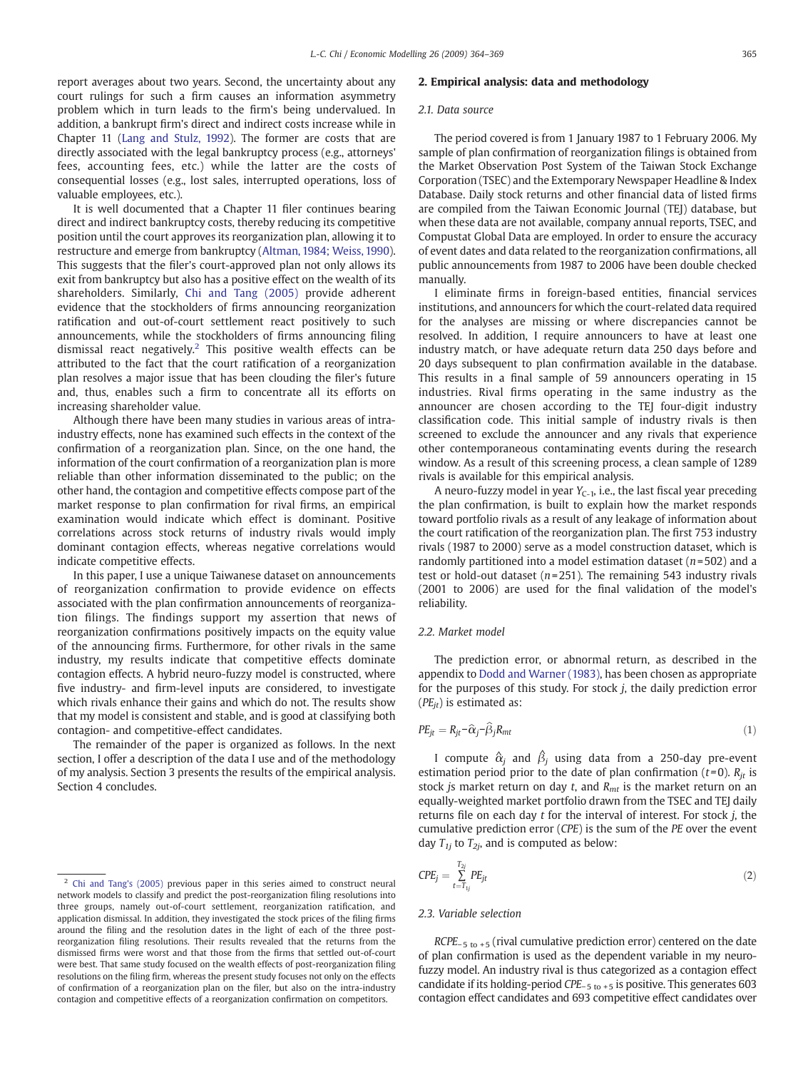report averages about two years. Second, the uncertainty about any court rulings for such a firm causes an information asymmetry problem which in turn leads to the firm's being undervalued. In addition, a bankrupt firm's direct and indirect costs increase while in Chapter 11 [\(Lang and Stulz, 1992](#page--1-0)). The former are costs that are directly associated with the legal bankruptcy process (e.g., attorneys' fees, accounting fees, etc.) while the latter are the costs of consequential losses (e.g., lost sales, interrupted operations, loss of valuable employees, etc.).

It is well documented that a Chapter 11 filer continues bearing direct and indirect bankruptcy costs, thereby reducing its competitive position until the court approves its reorganization plan, allowing it to restructure and emerge from bankruptcy ([Altman, 1984; Weiss, 1990\)](#page--1-0). This suggests that the filer's court-approved plan not only allows its exit from bankruptcy but also has a positive effect on the wealth of its shareholders. Similarly, [Chi and Tang \(2005\)](#page--1-0) provide adherent evidence that the stockholders of firms announcing reorganization ratification and out-of-court settlement react positively to such announcements, while the stockholders of firms announcing filing dismissal react negatively.<sup>2</sup> This positive wealth effects can be attributed to the fact that the court ratification of a reorganization plan resolves a major issue that has been clouding the filer's future and, thus, enables such a firm to concentrate all its efforts on increasing shareholder value.

Although there have been many studies in various areas of intraindustry effects, none has examined such effects in the context of the confirmation of a reorganization plan. Since, on the one hand, the information of the court confirmation of a reorganization plan is more reliable than other information disseminated to the public; on the other hand, the contagion and competitive effects compose part of the market response to plan confirmation for rival firms, an empirical examination would indicate which effect is dominant. Positive correlations across stock returns of industry rivals would imply dominant contagion effects, whereas negative correlations would indicate competitive effects.

In this paper, I use a unique Taiwanese dataset on announcements of reorganization confirmation to provide evidence on effects associated with the plan confirmation announcements of reorganization filings. The findings support my assertion that news of reorganization confirmations positively impacts on the equity value of the announcing firms. Furthermore, for other rivals in the same industry, my results indicate that competitive effects dominate contagion effects. A hybrid neuro-fuzzy model is constructed, where five industry- and firm-level inputs are considered, to investigate which rivals enhance their gains and which do not. The results show that my model is consistent and stable, and is good at classifying both contagion- and competitive-effect candidates.

The remainder of the paper is organized as follows. In the next section, I offer a description of the data I use and of the methodology of my analysis. Section 3 presents the results of the empirical analysis. Section 4 concludes.

#### 2. Empirical analysis: data and methodology

#### 2.1. Data source

The period covered is from 1 January 1987 to 1 February 2006. My sample of plan confirmation of reorganization filings is obtained from the Market Observation Post System of the Taiwan Stock Exchange Corporation (TSEC) and the Extemporary Newspaper Headline & Index Database. Daily stock returns and other financial data of listed firms are compiled from the Taiwan Economic Journal (TEJ) database, but when these data are not available, company annual reports, TSEC, and Compustat Global Data are employed. In order to ensure the accuracy of event dates and data related to the reorganization confirmations, all public announcements from 1987 to 2006 have been double checked manually.

I eliminate firms in foreign-based entities, financial services institutions, and announcers for which the court-related data required for the analyses are missing or where discrepancies cannot be resolved. In addition, I require announcers to have at least one industry match, or have adequate return data 250 days before and 20 days subsequent to plan confirmation available in the database. This results in a final sample of 59 announcers operating in 15 industries. Rival firms operating in the same industry as the announcer are chosen according to the TEJ four-digit industry classification code. This initial sample of industry rivals is then screened to exclude the announcer and any rivals that experience other contemporaneous contaminating events during the research window. As a result of this screening process, a clean sample of 1289 rivals is available for this empirical analysis.

A neuro-fuzzy model in year  $Y_{C-1}$ , i.e., the last fiscal year preceding the plan confirmation, is built to explain how the market responds toward portfolio rivals as a result of any leakage of information about the court ratification of the reorganization plan. The first 753 industry rivals (1987 to 2000) serve as a model construction dataset, which is randomly partitioned into a model estimation dataset ( $n=502$ ) and a test or hold-out dataset ( $n=251$ ). The remaining 543 industry rivals (2001 to 2006) are used for the final validation of the model's reliability.

#### 2.2. Market model

The prediction error, or abnormal return, as described in the appendix to [Dodd and Warner \(1983\)](#page--1-0), has been chosen as appropriate for the purposes of this study. For stock j, the daily prediction error  $(PE_{it})$  is estimated as:

$$
PE_{jt} = R_{jt} - \hat{\alpha}_j - \hat{\beta}_j R_{mt} \tag{1}
$$

I compute  $\hat{\alpha}_j$  and  $\hat{\beta}_j$  using data from a 250-day pre-event estimation period prior to the date of plan confirmation ( $t=0$ ).  $R_{it}$  is stock js market return on day t, and  $R_{mt}$  is the market return on an equally-weighted market portfolio drawn from the TSEC and TEJ daily returns file on each day  $t$  for the interval of interest. For stock  $j$ , the cumulative prediction error (CPE) is the sum of the PE over the event day  $T_{1i}$  to  $T_{2i}$ , and is computed as below:

$$
CPE_j = \sum_{t=T_{1j}}^{T_{2j}} PE_{jt} \tag{2}
$$

#### 2.3. Variable selection

RCPE $-$ 5 to +5 (rival cumulative prediction error) centered on the date of plan confirmation is used as the dependent variable in my neurofuzzy model. An industry rival is thus categorized as a contagion effect candidate if its holding-period CPE−5 to +5 is positive. This generates 603 contagion effect candidates and 693 competitive effect candidates over

<sup>2</sup> [Chi and Tang's \(2005\)](#page--1-0) previous paper in this series aimed to construct neural network models to classify and predict the post-reorganization filing resolutions into three groups, namely out-of-court settlement, reorganization ratification, and application dismissal. In addition, they investigated the stock prices of the filing firms around the filing and the resolution dates in the light of each of the three postreorganization filing resolutions. Their results revealed that the returns from the dismissed firms were worst and that those from the firms that settled out-of-court were best. That same study focused on the wealth effects of post-reorganization filing resolutions on the filing firm, whereas the present study focuses not only on the effects of confirmation of a reorganization plan on the filer, but also on the intra-industry contagion and competitive effects of a reorganization confirmation on competitors.